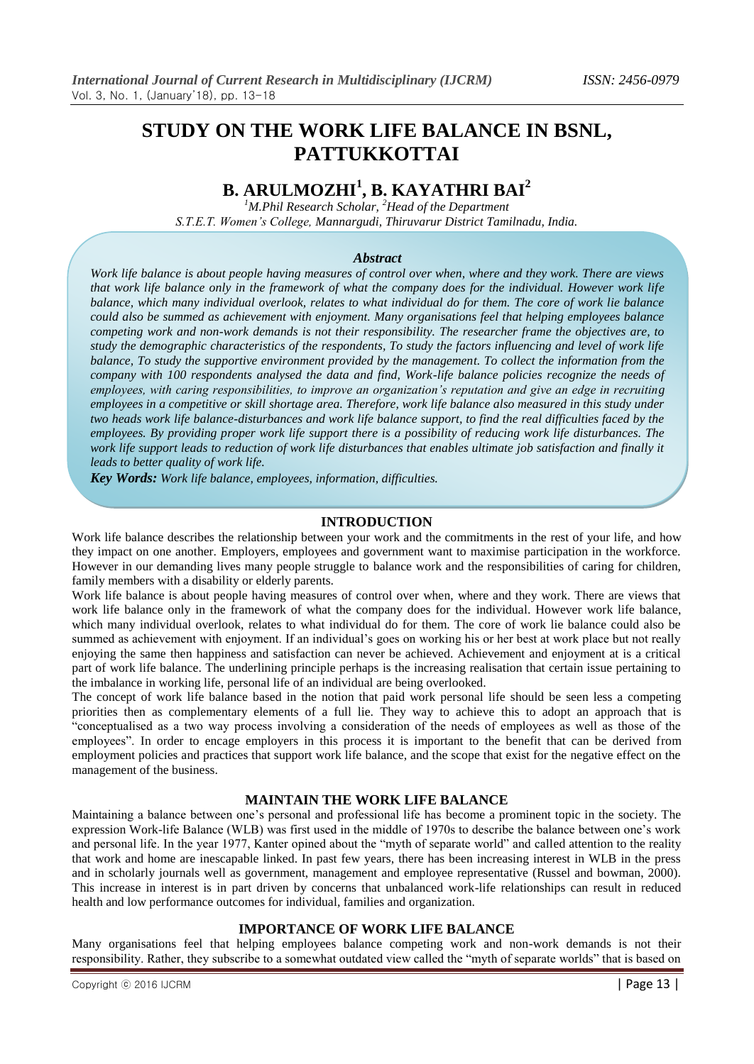# **STUDY ON THE WORK LIFE BALANCE IN BSNL, PATTUKKOTTAI**

# **B. ARULMOZHI<sup>1</sup> , B. KAYATHRI BAI<sup>2</sup>**

*<sup>1</sup>M.Phil Research Scholar, <sup>2</sup>Head of the Department S.T.E.T. Women's College, Mannargudi, Thiruvarur District Tamilnadu, India.*

# *Abstract*

*Work life balance is about people having measures of control over when, where and they work. There are views that work life balance only in the framework of what the company does for the individual. However work life balance, which many individual overlook, relates to what individual do for them. The core of work lie balance could also be summed as achievement with enjoyment. Many organisations feel that helping employees balance competing work and non-work demands is not their responsibility. The researcher frame the objectives are, to study the demographic characteristics of the respondents, To study the factors influencing and level of work life balance, To study the supportive environment provided by the management. To collect the information from the company with 100 respondents analysed the data and find, Work-life balance policies recognize the needs of employees, with caring responsibilities, to improve an organization's reputation and give an edge in recruiting employees in a competitive or skill shortage area. Therefore, work life balance also measured in this study under two heads work life balance-disturbances and work life balance support, to find the real difficulties faced by the employees. By providing proper work life support there is a possibility of reducing work life disturbances. The*  work life support leads to reduction of work life disturbances that enables ultimate job satisfaction and finally it *leads to better quality of work life.*

*Key Words: Work life balance, employees, information, difficulties.*

## **INTRODUCTION**

Work life balance describes the relationship between your work and the commitments in the rest of your life, and how they impact on one another. Employers, employees and government want to maximise participation in the workforce. However in our demanding lives many people struggle to balance work and the responsibilities of caring for children, family members with a disability or elderly parents.

Work life balance is about people having measures of control over when, where and they work. There are views that work life balance only in the framework of what the company does for the individual. However work life balance, which many individual overlook, relates to what individual do for them. The core of work lie balance could also be summed as achievement with enjoyment. If an individual's goes on working his or her best at work place but not really enjoying the same then happiness and satisfaction can never be achieved. Achievement and enjoyment at is a critical part of work life balance. The underlining principle perhaps is the increasing realisation that certain issue pertaining to the imbalance in working life, personal life of an individual are being overlooked.

The concept of work life balance based in the notion that paid work personal life should be seen less a competing priorities then as complementary elements of a full lie. They way to achieve this to adopt an approach that is "conceptualised as a two way process involving a consideration of the needs of employees as well as those of the employees". In order to encage employers in this process it is important to the benefit that can be derived from employment policies and practices that support work life balance, and the scope that exist for the negative effect on the management of the business.

# **MAINTAIN THE WORK LIFE BALANCE**

Maintaining a balance between one"s personal and professional life has become a prominent topic in the society. The expression Work-life Balance (WLB) was first used in the middle of 1970s to describe the balance between one"s work and personal life. In the year 1977, Kanter opined about the "myth of separate world" and called attention to the reality that work and home are inescapable linked. In past few years, there has been increasing interest in WLB in the press and in scholarly journals well as government, management and employee representative (Russel and bowman, 2000). This increase in interest is in part driven by concerns that unbalanced work-life relationships can result in reduced health and low performance outcomes for individual, families and organization.

# **IMPORTANCE OF WORK LIFE BALANCE**

Many organisations feel that helping employees balance competing work and non-work demands is not their responsibility. Rather, they subscribe to a somewhat outdated view called the "myth of separate worlds" that is based on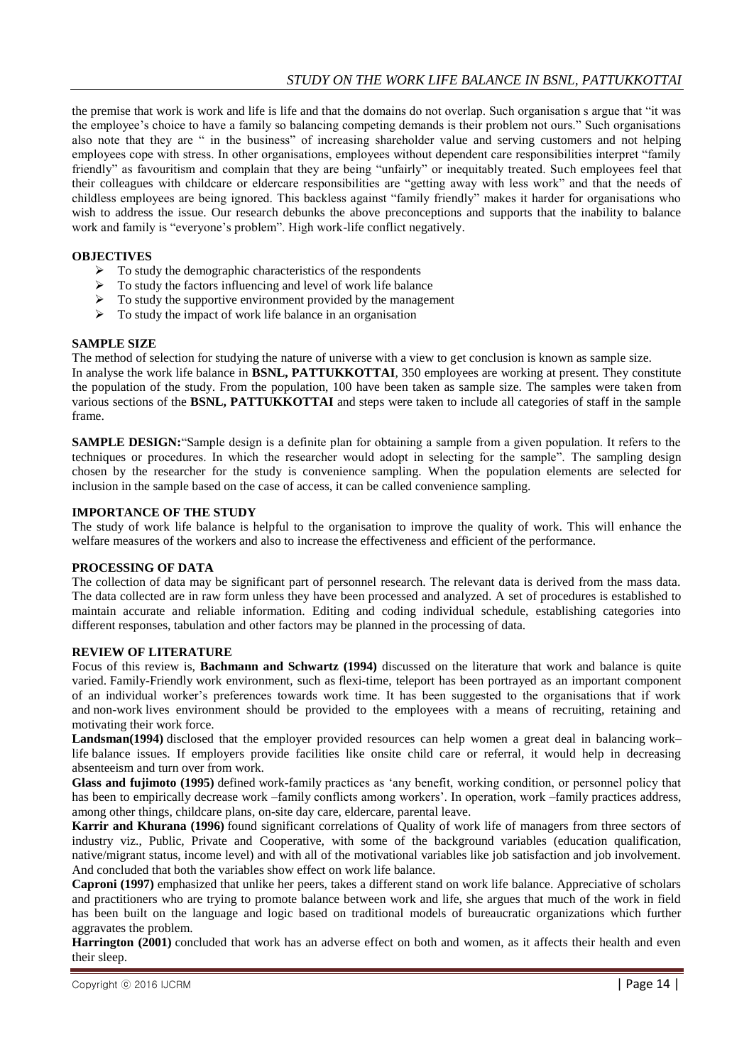the premise that work is work and life is life and that the domains do not overlap. Such organisation s argue that "it was the employee's choice to have a family so balancing competing demands is their problem not ours." Such organisations also note that they are " in the business" of increasing shareholder value and serving customers and not helping employees cope with stress. In other organisations, employees without dependent care responsibilities interpret "family friendly" as favouritism and complain that they are being "unfairly" or inequitably treated. Such employees feel that their colleagues with childcare or eldercare responsibilities are "getting away with less work" and that the needs of childless employees are being ignored. This backless against "family friendly" makes it harder for organisations who wish to address the issue. Our research debunks the above preconceptions and supports that the inability to balance work and family is "everyone's problem". High work-life conflict negatively.

# **OBJECTIVES**

- $\triangleright$  To study the demographic characteristics of the respondents
- $\triangleright$  To study the factors influencing and level of work life balance
- $\triangleright$  To study the supportive environment provided by the management
- $\triangleright$  To study the impact of work life balance in an organisation

## **SAMPLE SIZE**

The method of selection for studying the nature of universe with a view to get conclusion is known as sample size. In analyse the work life balance in **BSNL, PATTUKKOTTAI**, 350 employees are working at present. They constitute

the population of the study. From the population, 100 have been taken as sample size. The samples were taken from various sections of the **BSNL, PATTUKKOTTAI** and steps were taken to include all categories of staff in the sample frame.

**SAMPLE DESIGN:**"Sample design is a definite plan for obtaining a sample from a given population. It refers to the techniques or procedures. In which the researcher would adopt in selecting for the sample". The sampling design chosen by the researcher for the study is convenience sampling. When the population elements are selected for inclusion in the sample based on the case of access, it can be called convenience sampling.

## **IMPORTANCE OF THE STUDY**

The study of work life balance is helpful to the organisation to improve the quality of work. This will enhance the welfare measures of the workers and also to increase the effectiveness and efficient of the performance.

## **PROCESSING OF DATA**

The collection of data may be significant part of personnel research. The relevant data is derived from the mass data. The data collected are in raw form unless they have been processed and analyzed. A set of procedures is established to maintain accurate and reliable information. Editing and coding individual schedule, establishing categories into different responses, tabulation and other factors may be planned in the processing of data.

## **REVIEW OF LITERATURE**

Focus of this review is, **Bachmann and Schwartz (1994)** discussed on the literature that work and balance is quite varied. Family-Friendly work environment, such as flexi-time, teleport has been portrayed as an important component of an individual worker"s preferences towards work time. It has been suggested to the organisations that if work and non-work lives environment should be provided to the employees with a means of recruiting, retaining and motivating their work force.

**Landsman(1994)** disclosed that the employer provided resources can help women a great deal in balancing work– life balance issues. If employers provide facilities like onsite child care or referral, it would help in decreasing absenteeism and turn over from work.

**Glass and fujimoto (1995)** defined work-family practices as "any benefit, working condition, or personnel policy that has been to empirically decrease work –family conflicts among workers'. In operation, work –family practices address, among other things, childcare plans, on-site day care, eldercare, parental leave.

**Karrir and Khurana (1996)** found significant correlations of Quality of work life of managers from three sectors of industry viz., Public, Private and Cooperative, with some of the background variables (education qualification, native/migrant status, income level) and with all of the motivational variables like job satisfaction and job involvement. And concluded that both the variables show effect on work life balance.

**Caproni (1997)** emphasized that unlike her peers, takes a different stand on work life balance. Appreciative of scholars and practitioners who are trying to promote balance between work and life, she argues that much of the work in field has been built on the language and logic based on traditional models of bureaucratic organizations which further aggravates the problem.

**Harrington (2001)** concluded that work has an adverse effect on both and women, as it affects their health and even their sleep.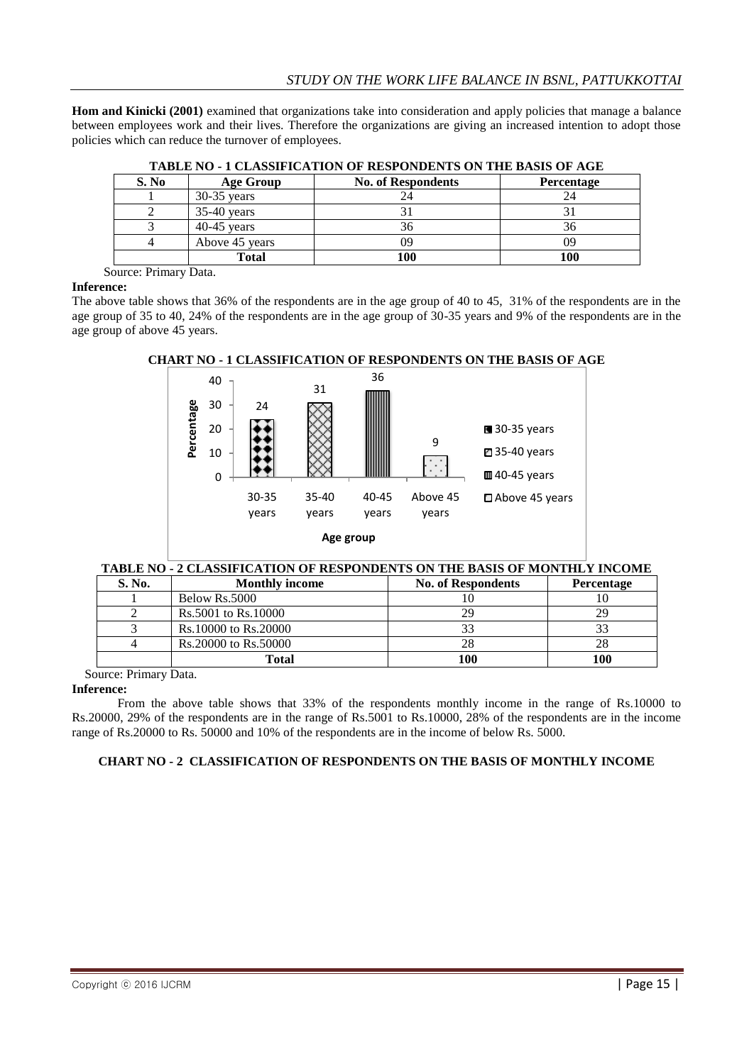**Hom and Kinicki (2001)** examined that organizations take into consideration and apply policies that manage a balance between employees work and their lives. Therefore the organizations are giving an increased intention to adopt those policies which can reduce the turnover of employees.

| 1.1000 1.0 1 VIII 10011 1011 1011 01 10001 0110 1110 011 1110 011010 01 11010 |                  |                           |                   |  |  |  |
|-------------------------------------------------------------------------------|------------------|---------------------------|-------------------|--|--|--|
| S. No                                                                         | <b>Age Group</b> | <b>No. of Respondents</b> | <b>Percentage</b> |  |  |  |
|                                                                               | $30-35$ years    |                           | 24                |  |  |  |
|                                                                               | $35-40$ years    |                           |                   |  |  |  |
|                                                                               | $40-45$ vears    |                           | 36                |  |  |  |
|                                                                               | Above 45 years   |                           |                   |  |  |  |
|                                                                               | Total            | 100                       | 100               |  |  |  |

**TABLE NO - 1 CLASSIFICATION OF RESPONDENTS ON THE BASIS OF AGE**

Source: Primary Data.

## **Inference:**

The above table shows that 36% of the respondents are in the age group of 40 to 45, 31% of the respondents are in the age group of 35 to 40, 24% of the respondents are in the age group of 30-35 years and 9% of the respondents are in the age group of above 45 years.



# **CHART NO - 1 CLASSIFICATION OF RESPONDENTS ON THE BASIS OF AGE**

## **TABLE NO - 2 CLASSIFICATION OF RESPONDENTS ON THE BASIS OF MONTHLY INCOME**

| S. No. | <b>Monthly income</b> | <b>No. of Respondents</b> | Percentage |
|--------|-----------------------|---------------------------|------------|
|        | Below Rs.5000         |                           |            |
|        | Rs.5001 to Rs.10000   | 29                        | 29         |
|        | Rs.10000 to Rs.20000  |                           |            |
|        | Rs.20000 to Rs.50000  | 28                        |            |
|        | <b>Total</b>          | 100                       | 100        |

Source: Primary Data.

## **Inference:**

From the above table shows that 33% of the respondents monthly income in the range of Rs.10000 to Rs.20000, 29% of the respondents are in the range of Rs.5001 to Rs.10000, 28% of the respondents are in the income range of Rs.20000 to Rs. 50000 and 10% of the respondents are in the income of below Rs. 5000.

# **CHART NO - 2 CLASSIFICATION OF RESPONDENTS ON THE BASIS OF MONTHLY INCOME**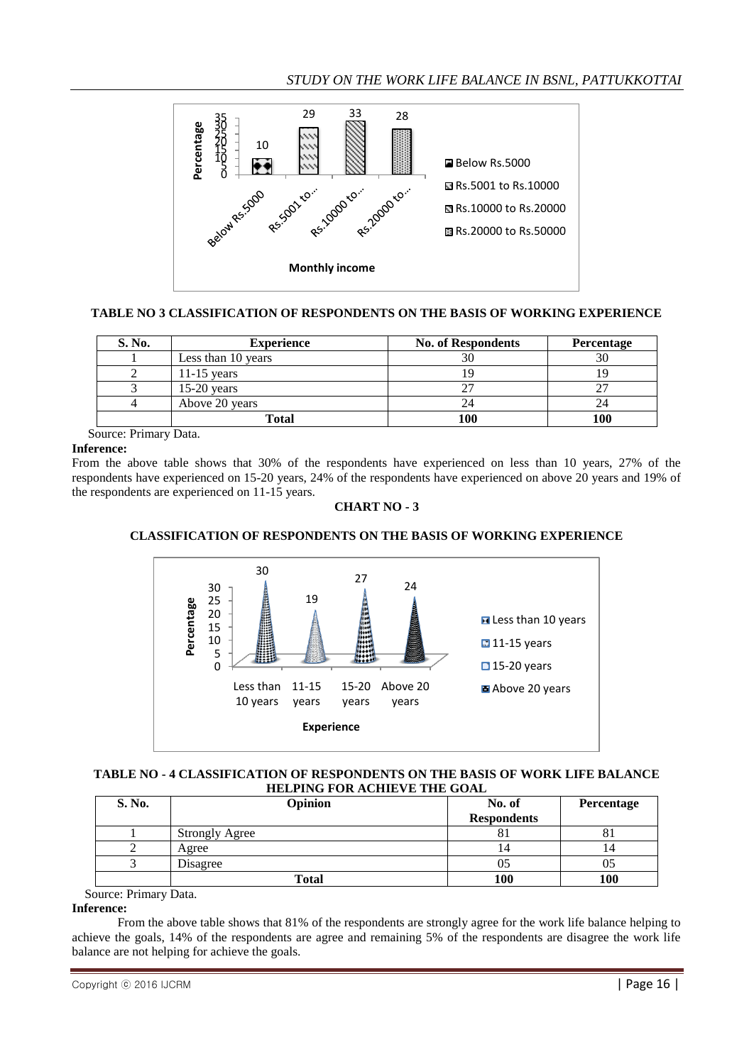

# **TABLE NO 3 CLASSIFICATION OF RESPONDENTS ON THE BASIS OF WORKING EXPERIENCE**

| S. No. | <b>Experience</b>  | <b>No. of Respondents</b> | Percentage |
|--------|--------------------|---------------------------|------------|
|        | Less than 10 years |                           |            |
|        | 11-15 years        |                           |            |
|        | $15-20$ years      |                           |            |
|        | Above 20 years     |                           |            |
|        | Total              | 100                       | 100        |

Source: Primary Data.

# **Inference:**

From the above table shows that 30% of the respondents have experienced on less than 10 years, 27% of the respondents have experienced on 15-20 years, 24% of the respondents have experienced on above 20 years and 19% of the respondents are experienced on 11-15 years.

# **CHART NO - 3**

# **CLASSIFICATION OF RESPONDENTS ON THE BASIS OF WORKING EXPERIENCE**



## **TABLE NO - 4 CLASSIFICATION OF RESPONDENTS ON THE BASIS OF WORK LIFE BALANCE HELPING FOR ACHIEVE THE GOAL**

| S. No. | <b>Opinion</b>        | No. of             | Percentage |
|--------|-----------------------|--------------------|------------|
|        |                       | <b>Respondents</b> |            |
|        | <b>Strongly Agree</b> | ΟI                 | O J        |
|        | Agree                 | 14                 | 14         |
|        | Disagree              | UJ                 | UJ         |
|        | Total                 | 100                | 100        |

Source: Primary Data.

## **Inference:**

From the above table shows that 81% of the respondents are strongly agree for the work life balance helping to achieve the goals, 14% of the respondents are agree and remaining 5% of the respondents are disagree the work life balance are not helping for achieve the goals.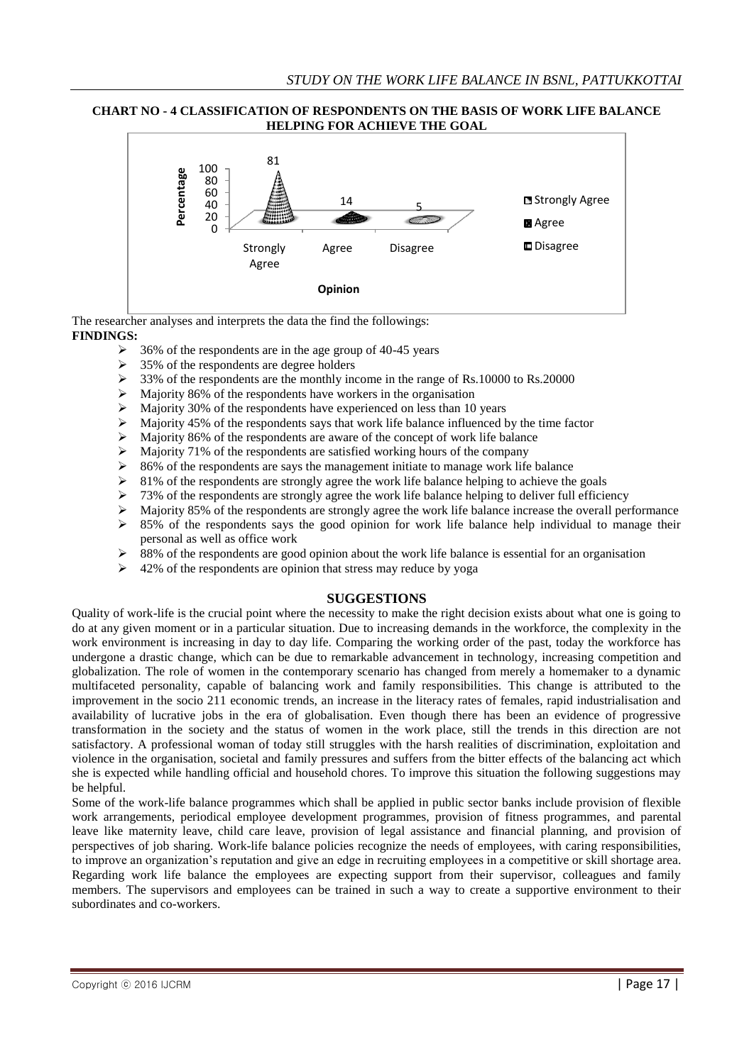## **CHART NO - 4 CLASSIFICATION OF RESPONDENTS ON THE BASIS OF WORK LIFE BALANCE HELPING FOR ACHIEVE THE GOAL**



The researcher analyses and interprets the data the find the followings: **FINDINGS:**

- 36% of the respondents are in the age group of 40-45 years
- $\geq$  35% of the respondents are degree holders
- $\geq$  33% of the respondents are the monthly income in the range of Rs.10000 to Rs.20000
- $\triangleright$  Majority 86% of the respondents have workers in the organisation
- $\triangleright$  Majority 30% of the respondents have experienced on less than 10 years  $\triangleright$  Majority 45% of the respondents savs that work life balance influenced b
- Majority 45% of the respondents says that work life balance influenced by the time factor
- $\geq$  Majority 86% of the respondents are aware of the concept of work life balance
- $\triangleright$  Majority 71% of the respondents are satisfied working hours of the company
- $\geq$  86% of the respondents are says the management initiate to manage work life balance
- $\geq$  81% of the respondents are strongly agree the work life balance helping to achieve the goals
- $\geq 73\%$  of the respondents are strongly agree the work life balance helping to deliver full efficiency
- Majority 85% of the respondents are strongly agree the work life balance increase the overall performance
- $\geq$  85% of the respondents says the good opinion for work life balance help individual to manage their personal as well as office work
- 88% of the respondents are good opinion about the work life balance is essential for an organisation
- $\triangleright$  42% of the respondents are opinion that stress may reduce by yoga

## **SUGGESTIONS**

Quality of work-life is the crucial point where the necessity to make the right decision exists about what one is going to do at any given moment or in a particular situation. Due to increasing demands in the workforce, the complexity in the work environment is increasing in day to day life. Comparing the working order of the past, today the workforce has undergone a drastic change, which can be due to remarkable advancement in technology, increasing competition and globalization. The role of women in the contemporary scenario has changed from merely a homemaker to a dynamic multifaceted personality, capable of balancing work and family responsibilities. This change is attributed to the improvement in the socio 211 economic trends, an increase in the literacy rates of females, rapid industrialisation and availability of lucrative jobs in the era of globalisation. Even though there has been an evidence of progressive transformation in the society and the status of women in the work place, still the trends in this direction are not satisfactory. A professional woman of today still struggles with the harsh realities of discrimination, exploitation and violence in the organisation, societal and family pressures and suffers from the bitter effects of the balancing act which she is expected while handling official and household chores. To improve this situation the following suggestions may be helpful.

Some of the work-life balance programmes which shall be applied in public sector banks include provision of flexible work arrangements, periodical employee development programmes, provision of fitness programmes, and parental leave like maternity leave, child care leave, provision of legal assistance and financial planning, and provision of perspectives of job sharing. Work-life balance policies recognize the needs of employees, with caring responsibilities, to improve an organization"s reputation and give an edge in recruiting employees in a competitive or skill shortage area. Regarding work life balance the employees are expecting support from their supervisor, colleagues and family members. The supervisors and employees can be trained in such a way to create a supportive environment to their subordinates and co-workers.